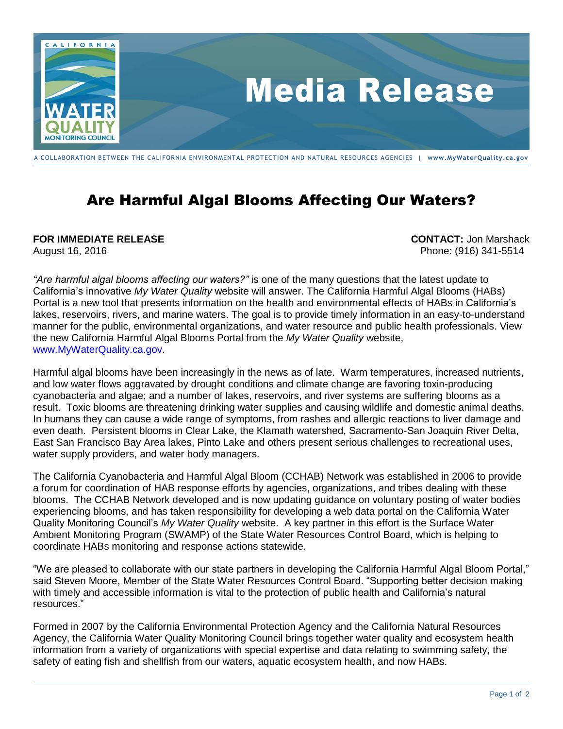

## A COLLABORATION BETWEEN THE CALIFORNIA ENVIRONMENTAL PROTECTION AND NATURAL RESOURCES AGENCIES | **[www.MyWaterQuality.ca.gov](http://www.cawaterquality.net/)**

## Are Harmful Algal Blooms Affecting Our Waters?

## **FOR IMMEDIATE RELEASE CONTACT:** Jon Marshack

August 16, 2016 Phone: (916) 341-5514

*"Are harmful algal blooms affecting our waters?"* is one of the many questions that the latest update to California's innovative *My Water Quality* website will answer. The California Harmful Algal Blooms (HABs) Portal is a new tool that presents information on the health and environmental effects of HABs in California's lakes, reservoirs, rivers, and marine waters. The goal is to provide timely information in an easy-to-understand manner for the public, environmental organizations, and water resource and public health professionals. View the new California Harmful Algal Blooms Portal from the *My Water Quality* website, [www.MyWaterQuality.ca.gov.](../AppData/Local/Microsoft/Windows/Temporary%20Internet%20Files/Content.Outlook/B7I44NUX/www.MyWaterQuality.ca.gov)

Harmful algal blooms have been increasingly in the news as of late. Warm temperatures, increased nutrients, and low water flows aggravated by drought conditions and climate change are favoring toxin-producing cyanobacteria and algae; and a number of lakes, reservoirs, and river systems are suffering blooms as a result. Toxic blooms are threatening drinking water supplies and causing wildlife and domestic animal deaths. In humans they can cause a wide range of symptoms, from rashes and allergic reactions to liver damage and even death. Persistent blooms in Clear Lake, the Klamath watershed, Sacramento-San Joaquin River Delta, East San Francisco Bay Area lakes, Pinto Lake and others present serious challenges to recreational uses, water supply providers, and water body managers.

The California Cyanobacteria and Harmful Algal Bloom (CCHAB) Network was established in 2006 to provide a forum for coordination of HAB response efforts by agencies, organizations, and tribes dealing with these blooms. The CCHAB Network developed and is now updating guidance on voluntary posting of water bodies experiencing blooms, and has taken responsibility for developing a web data portal on the California Water Quality Monitoring Council's *My Water Quality* website. A key partner in this effort is the Surface Water Ambient Monitoring Program (SWAMP) of the State Water Resources Control Board, which is helping to coordinate HABs monitoring and response actions statewide.

"We are pleased to collaborate with our state partners in developing the California Harmful Algal Bloom Portal," said Steven Moore, Member of the State Water Resources Control Board. "Supporting better decision making with timely and accessible information is vital to the protection of public health and California's natural resources."

Formed in 2007 by the California Environmental Protection Agency and the California Natural Resources Agency, the California Water Quality Monitoring Council brings together water quality and ecosystem health information from a variety of organizations with special expertise and data relating to swimming safety, the safety of eating fish and shellfish from our waters, aquatic ecosystem health, and now HABs.